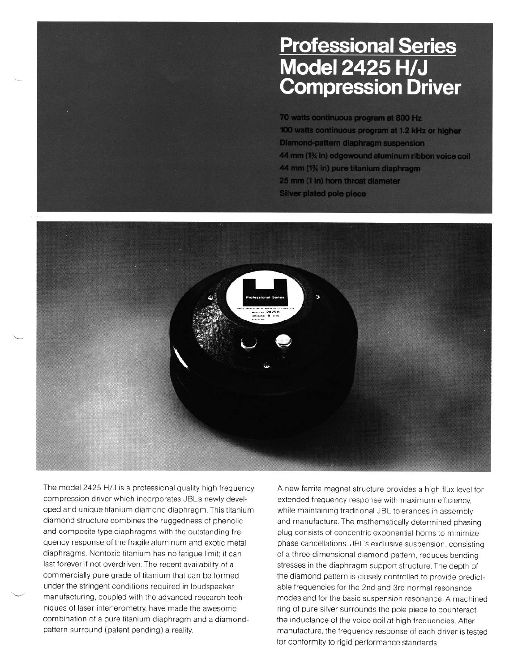## **Professional Series<br>Model 2425 H/J Compression Driver**

70 watts continuous program at 800 Hz 100 watts continuous program at 1.2 kHz or higher **Diamond-pattern diaphragm suspension** 44 mm (1% in) edgewound aluminum ribbon voice coil 44 mm (1% in) pure titanium diaphragm 25 mm (1 in) horn throat diameter **Silver plated pole piece** 



The model 2425 H/J is a professional quality high frequency compression drrver which incorporates JBL's newly developed and unique titanium diamond diaphragm. This titanium diamond structure combines the ruggedness of phenolic and composite type diaphragms with the outstanding frequency response of the fragile aluminum and exotic metal diaphragms. Nontoxic titanium has no fatigue limit; it can last forever if not overdriven. The recent availability of a commercially pure grade of titanium that can be formed under the stringent conditions required in loudspeaker manufacturing, coupled with the advanced research techniques of laser interferometry, have made the awesome combination of a pure titanium diaphragm and a diamondpattern surround (patent pending) a reality.

A new ferrite magnet structure provides a high flux level for extended frequency response with maximum efficiency, while maintaining traditional JBL tolerances in assembly and manufacture. The mathematically determined phasing plug consists of concentric exponential horns to minimize phase cancellations. JBL's exclusive suspension, consisting of a three-dimensional diamond pattern, reduces bending stresses in the diaphragm support structure. The depth of the diamond pattern is closely controlled to provide predictable frequencies for the 2nd and 3rd normal resonance modes and for the basic suspension resonance. A machined ring of pure silver surrounds the pole piece to counteract the inductance of the voice coil at high frequencies. After manufacture, the frequency response of each driver is tested for conformity to rigid performance standards.